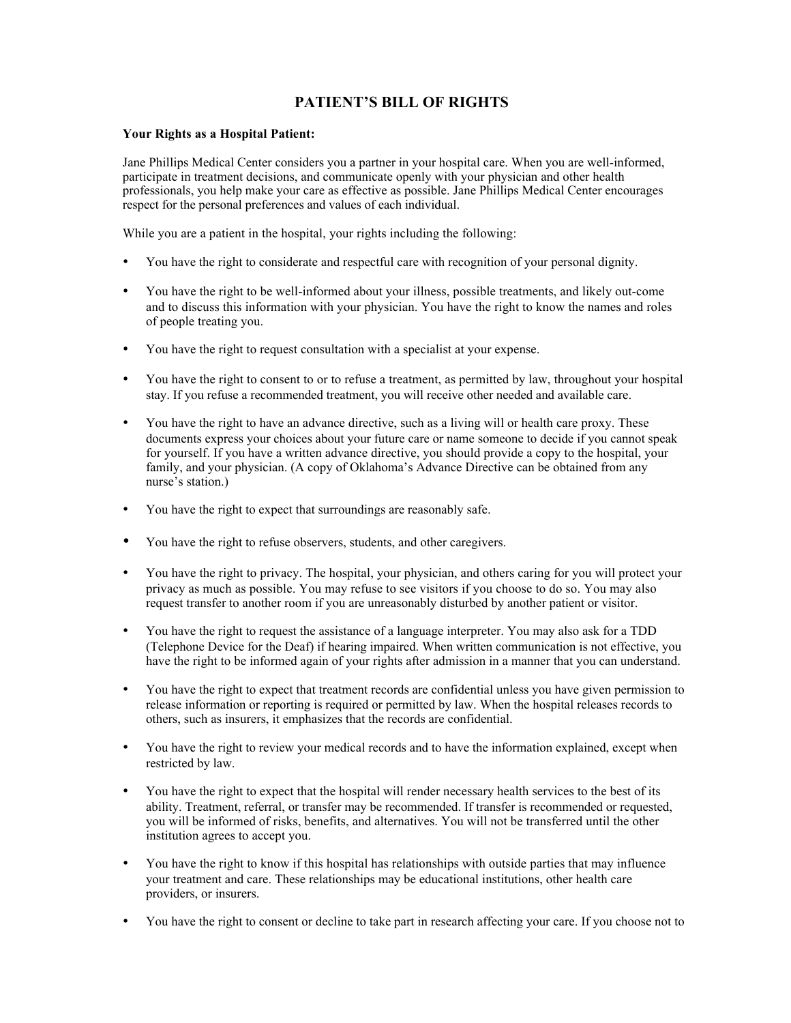## PATIENT'S BILL OF RIGHTS

## Your Rights as a Hospital Patient:

Jane Phillips Medical Center considers you a partner in your hospital care. When you are well-informed, participate in treatment decisions, and communicate openly with your physician and other health professionals, you help make your care as effective as possible. Jane Phillips Medical Center encourages respect for the personal preferences and values of each individual.

While you are a patient in the hospital, your rights including the following:

- You have the right to considerate and respectful care with recognition of your personal dignity.
- You have the right to be well-informed about your illness, possible treatments, and likely out-come and to discuss this information with your physician. You have the right to know the names and roles of people treating you.
- You have the right to request consultation with a specialist at your expense.
- You have the right to consent to or to refuse a treatment, as permitted by law, throughout your hospital stay. If you refuse a recommended treatment, you will receive other needed and available care.
- You have the right to have an advance directive, such as a living will or health care proxy. These documents express your choices about your future care or name someone to decide if you cannot speak for yourself. If you have a written advance directive, you should provide a copy to the hospital, your family, and your physician. (A copy of Oklahoma's Advance Directive can be obtained from any nurse's station.)
- You have the right to expect that surroundings are reasonably safe.
- You have the right to refuse observers, students, and other caregivers.
- You have the right to privacy. The hospital, your physician, and others caring for you will protect your privacy as much as possible. You may refuse to see visitors if you choose to do so. You may also request transfer to another room if you are unreasonably disturbed by another patient or visitor.
- You have the right to request the assistance of a language interpreter. You may also ask for a TDD (Telephone Device for the Deaf) if hearing impaired. When written communication is not effective, you have the right to be informed again of your rights after admission in a manner that you can understand.
- You have the right to expect that treatment records are confidential unless you have given permission to release information or reporting is required or permitted by law. When the hospital releases records to others, such as insurers, it emphasizes that the records are confidential.
- You have the right to review your medical records and to have the information explained, except when restricted by law.
- You have the right to expect that the hospital will render necessary health services to the best of its ability. Treatment, referral, or transfer may be recommended. If transfer is recommended or requested, you will be informed of risks, benefits, and alternatives. You will not be transferred until the other institution agrees to accept you.
- You have the right to know if this hospital has relationships with outside parties that may influence your treatment and care. These relationships may be educational institutions, other health care providers, or insurers.
- You have the right to consent or decline to take part in research affecting your care. If you choose not to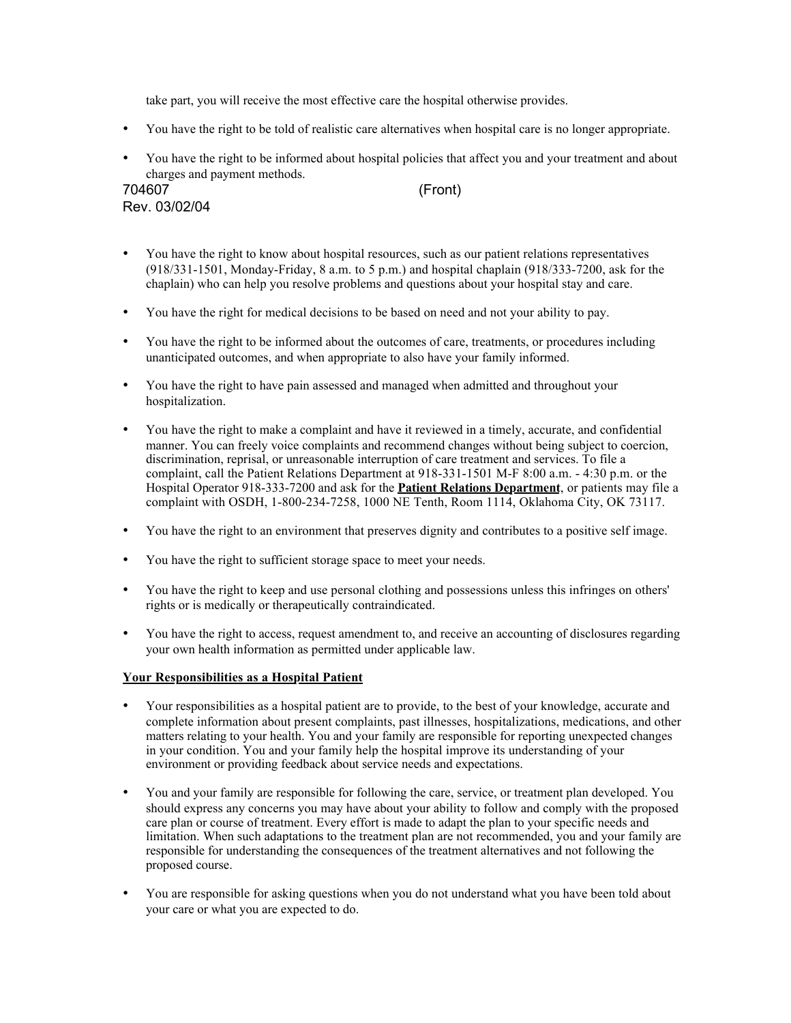take part, you will receive the most effective care the hospital otherwise provides.

- You have the right to be told of realistic care alternatives when hospital care is no longer appropriate.
- You have the right to be informed about hospital policies that affect you and your treatment and about charges and payment methods.

| 704607        |  |
|---------------|--|
| Rev. 03/02/04 |  |

 $(Front)$ 

- You have the right to know about hospital resources, such as our patient relations representatives (918/331-1501, Monday-Friday, 8 a.m. to 5 p.m.) and hospital chaplain (918/333-7200, ask for the chaplain) who can help you resolve problems and questions about your hospital stay and care.
- You have the right for medical decisions to be based on need and not your ability to pay.
- You have the right to be informed about the outcomes of care, treatments, or procedures including unanticipated outcomes, and when appropriate to also have your family informed.
- You have the right to have pain assessed and managed when admitted and throughout your hospitalization.
- You have the right to make a complaint and have it reviewed in a timely, accurate, and confidential manner. You can freely voice complaints and recommend changes without being subject to coercion, discrimination, reprisal, or unreasonable interruption of care treatment and services. To file a complaint, call the Patient Relations Department at 918-331-1501 M-F 8:00 a.m. - 4:30 p.m. or the Hospital Operator 918-333-7200 and ask for the **Patient Relations Department**, or patients may file a complaint with OSDH, 1-800-234-7258, 1000 NE Tenth, Room 1114, Oklahoma City, OK 73117.
- You have the right to an environment that preserves dignity and contributes to a positive self image.
- You have the right to sufficient storage space to meet your needs.
- You have the right to keep and use personal clothing and possessions unless this infringes on others' rights or is medically or therapeutically contraindicated.
- You have the right to access, request amendment to, and receive an accounting of disclosures regarding your own health information as permitted under applicable law.

## Your Responsibilities as a Hospital Patient

- Your responsibilities as a hospital patient are to provide, to the best of your knowledge, accurate and complete information about present complaints, past illnesses, hospitalizations, medications, and other matters relating to your health. You and your family are responsible for reporting unexpected changes in your condition. You and your family help the hospital improve its understanding of your environment or providing feedback about service needs and expectations.
- You and your family are responsible for following the care, service, or treatment plan developed. You should express any concerns you may have about your ability to follow and comply with the proposed care plan or course of treatment. Every effort is made to adapt the plan to your specific needs and limitation. When such adaptations to the treatment plan are not recommended, you and your family are responsible for understanding the consequences of the treatment alternatives and not following the proposed course.
- You are responsible for asking questions when you do not understand what you have been told about your care or what you are expected to do.